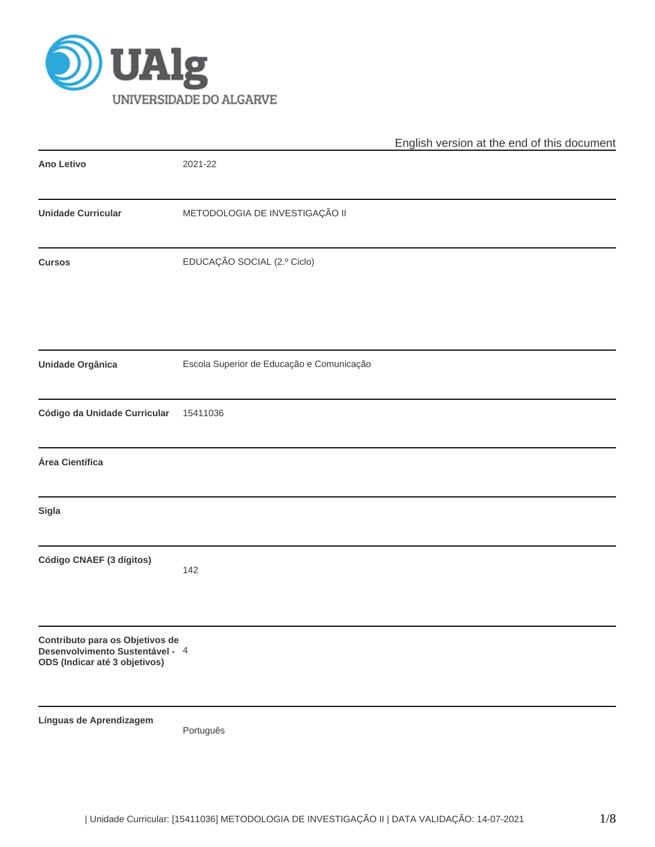

|                                                                                                     |                                           | English version at the end of this document |  |  |  |
|-----------------------------------------------------------------------------------------------------|-------------------------------------------|---------------------------------------------|--|--|--|
| Ano Letivo                                                                                          | 2021-22                                   |                                             |  |  |  |
| <b>Unidade Curricular</b>                                                                           | METODOLOGIA DE INVESTIGAÇÃO II            |                                             |  |  |  |
| <b>Cursos</b>                                                                                       | EDUCAÇÃO SOCIAL (2.º Ciclo)               |                                             |  |  |  |
| Unidade Orgânica                                                                                    | Escola Superior de Educação e Comunicação |                                             |  |  |  |
| Código da Unidade Curricular                                                                        | 15411036                                  |                                             |  |  |  |
| Área Científica                                                                                     |                                           |                                             |  |  |  |
| <b>Sigla</b>                                                                                        |                                           |                                             |  |  |  |
| Código CNAEF (3 dígitos)                                                                            | 142                                       |                                             |  |  |  |
| Contributo para os Objetivos de<br>Desenvolvimento Sustentável - 4<br>ODS (Indicar até 3 objetivos) |                                           |                                             |  |  |  |
| Línguas de Aprendizagem                                                                             | Português                                 |                                             |  |  |  |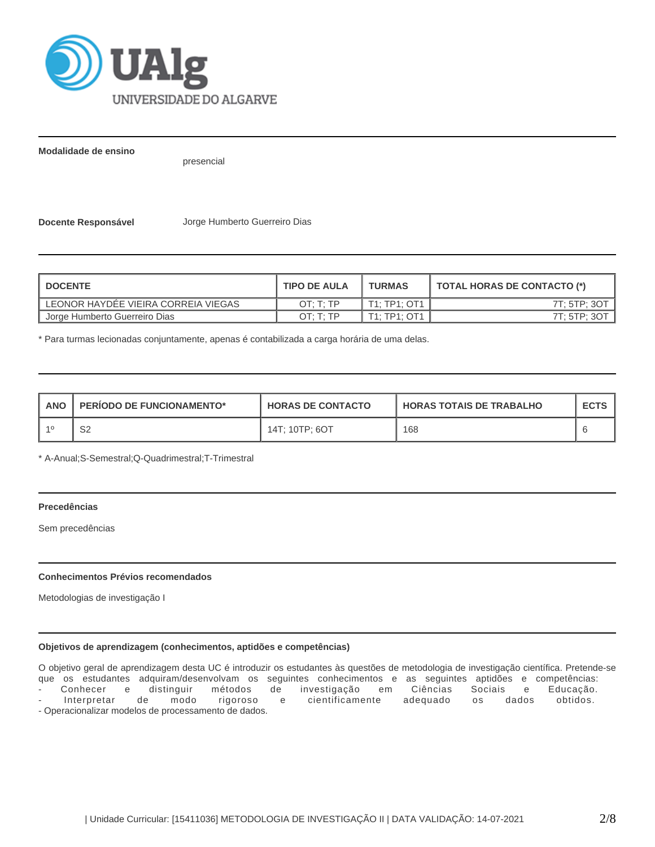

**Modalidade de ensino**

presencial

**Docente Responsável** Jorge Humberto Guerreiro Dias

| <b>DOCENTE</b>                      | <b>TIPO DE AULA</b> | <b>TURMAS</b> | TOTAL HORAS DE CONTACTO (*) |
|-------------------------------------|---------------------|---------------|-----------------------------|
| LEONOR HAYDEE VIEIRA CORREIA VIEGAS | OT: T: TP           | T1: TP1: OT1  | 7T: 5TP: 3OT                |
| Jorge Humberto Guerreiro Dias       | OT: T: TP           | T1: TP1: OT1  | 7T: 5TP: 3O1                |

\* Para turmas lecionadas conjuntamente, apenas é contabilizada a carga horária de uma delas.

| <b>ANO</b> | <b>PERIODO DE FUNCIONAMENTO*</b> | <b>HORAS DE CONTACTO</b> | <b>HORAS TOTAIS DE TRABALHO</b> | <b>ECTS</b> |
|------------|----------------------------------|--------------------------|---------------------------------|-------------|
|            | ےت                               | 14T; 10TP; 6OT           | 168                             |             |

\* A-Anual;S-Semestral;Q-Quadrimestral;T-Trimestral

## **Precedências**

Sem precedências

## **Conhecimentos Prévios recomendados**

Metodologias de investigação I

## **Objetivos de aprendizagem (conhecimentos, aptidões e competências)**

O objetivo geral de aprendizagem desta UC é introduzir os estudantes às questões de metodologia de investigação científica. Pretende-se que os estudantes adquiram/desenvolvam os seguintes conhecimentos e as seguintes aptidões e competências: - Conhecer e distinguir métodos de investigação em Ciências Sociais e Educação. Interpretar de modo rigoroso e cientificamente adequado os dados obtidos. - Operacionalizar modelos de processamento de dados.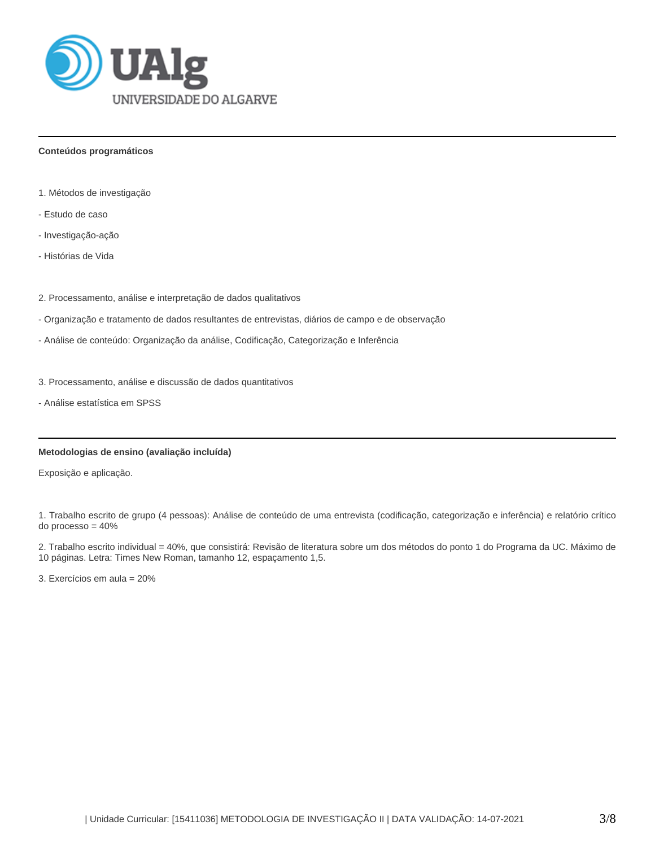

## **Conteúdos programáticos**

- 1. Métodos de investigação
- Estudo de caso
- Investigação-ação
- Histórias de Vida
- 2. Processamento, análise e interpretação de dados qualitativos
- Organização e tratamento de dados resultantes de entrevistas, diários de campo e de observação
- Análise de conteúdo: Organização da análise, Codificação, Categorização e Inferência
- 3. Processamento, análise e discussão de dados quantitativos
- Análise estatística em SPSS

# **Metodologias de ensino (avaliação incluída)**

Exposição e aplicação.

1. Trabalho escrito de grupo (4 pessoas): Análise de conteúdo de uma entrevista (codificação, categorização e inferência) e relatório crítico do processo = 40%

2. Trabalho escrito individual = 40%, que consistirá: Revisão de literatura sobre um dos métodos do ponto 1 do Programa da UC. Máximo de 10 páginas. Letra: Times New Roman, tamanho 12, espaçamento 1,5.

3. Exercícios em aula = 20%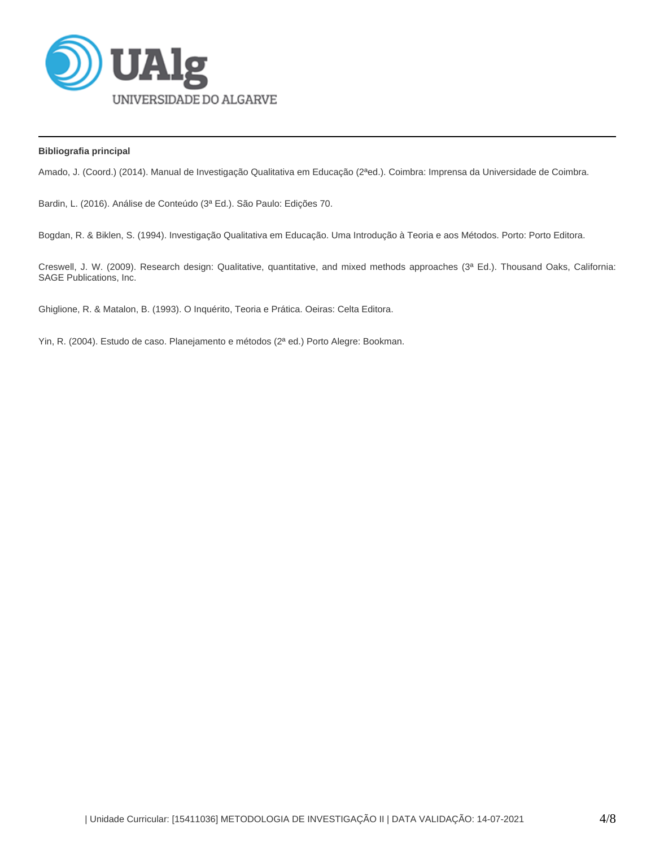

## **Bibliografia principal**

Amado, J. (Coord.) (2014). Manual de Investigação Qualitativa em Educação (2ªed.). Coimbra: Imprensa da Universidade de Coimbra.

Bardin, L. (2016). Análise de Conteúdo (3ª Ed.). São Paulo: Edições 70.

Bogdan, R. & Biklen, S. (1994). Investigação Qualitativa em Educação. Uma Introdução à Teoria e aos Métodos. Porto: Porto Editora.

Creswell, J. W. (2009). Research design: Qualitative, quantitative, and mixed methods approaches (3ª Ed.). Thousand Oaks, California: SAGE Publications, Inc.

Ghiglione, R. & Matalon, B. (1993). O Inquérito, Teoria e Prática. Oeiras: Celta Editora.

Yin, R. (2004). Estudo de caso. Planejamento e métodos (2ª ed.) Porto Alegre: Bookman.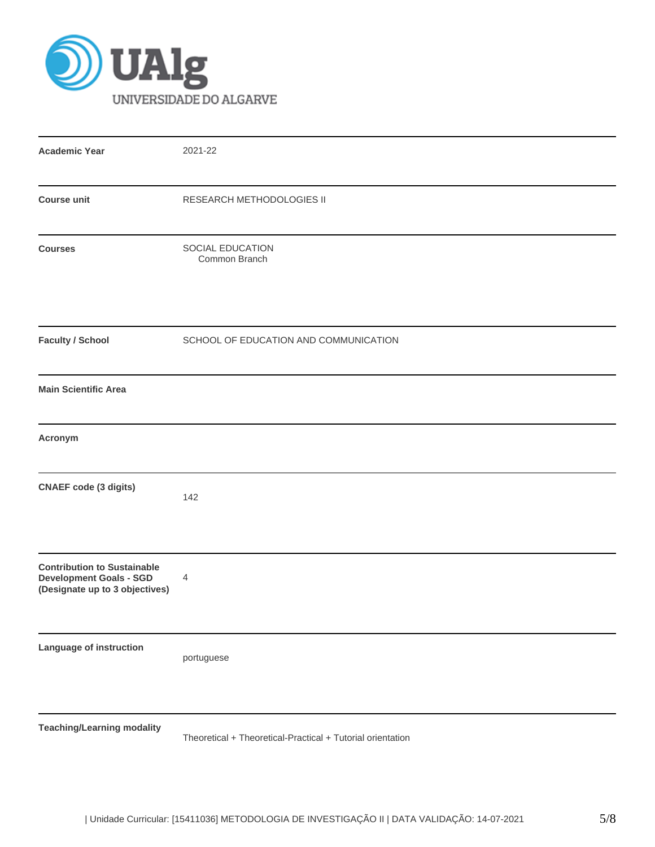

| <b>Academic Year</b>                                                                                   | 2021-22                                                    |
|--------------------------------------------------------------------------------------------------------|------------------------------------------------------------|
| <b>Course unit</b>                                                                                     | RESEARCH METHODOLOGIES II                                  |
| <b>Courses</b>                                                                                         | SOCIAL EDUCATION<br>Common Branch                          |
| <b>Faculty / School</b>                                                                                | SCHOOL OF EDUCATION AND COMMUNICATION                      |
| <b>Main Scientific Area</b>                                                                            |                                                            |
| Acronym                                                                                                |                                                            |
| <b>CNAEF code (3 digits)</b>                                                                           | 142                                                        |
| <b>Contribution to Sustainable</b><br><b>Development Goals - SGD</b><br>(Designate up to 3 objectives) | 4                                                          |
| Language of instruction                                                                                | portuguese                                                 |
| <b>Teaching/Learning modality</b>                                                                      | Theoretical + Theoretical-Practical + Tutorial orientation |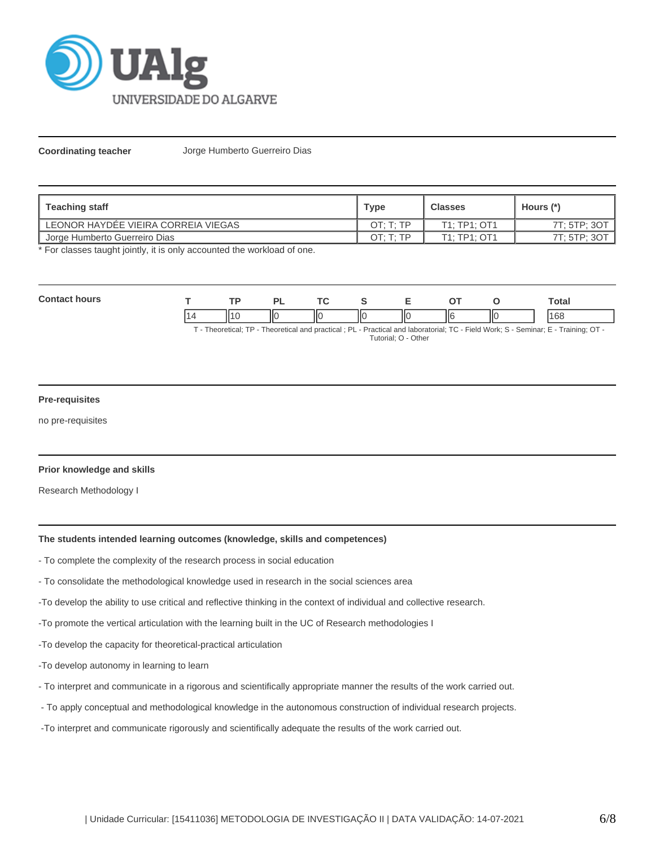

**Coordinating teacher** Jorge Humberto Guerreiro Dias

| <b>Teaching staff</b>               | Type      | <b>Classes</b> | Hours (*)    |
|-------------------------------------|-----------|----------------|--------------|
| LEONOR HAYDÉE VIEIRA CORREIA VIEGAS | OT: T: TP | T1: TP1: OT1   | 7T: 5TP: 3OT |
| Jorge Humberto Guerreiro Dias       | OT: T: TP | T1: TP1: OT1   | 7T: 5TP: 3OT |

\* For classes taught jointly, it is only accounted the workload of one.

| $\sim$<br>wor |      | D)                       |    |    |    |   |               | -<br>`otal                     |
|---------------|------|--------------------------|----|----|----|---|---------------|--------------------------------|
|               | - 14 | $\overline{\phantom{a}}$ | НΟ | ШC | ПO | Ш | $\mathsf{II}$ | $\overline{\phantom{a}}$<br>ЮC |

T - Theoretical; TP - Theoretical and practical ; PL - Practical and laboratorial; TC - Field Work; S - Seminar; E - Training; OT - Tutorial; O - Other

### **Pre-requisites**

no pre-requisites

### **Prior knowledge and skills**

Research Methodology I

#### **The students intended learning outcomes (knowledge, skills and competences)**

- To complete the complexity of the research process in social education
- To consolidate the methodological knowledge used in research in the social sciences area
- -To develop the ability to use critical and reflective thinking in the context of individual and collective research.
- -To promote the vertical articulation with the learning built in the UC of Research methodologies I
- -To develop the capacity for theoretical-practical articulation
- -To develop autonomy in learning to learn
- To interpret and communicate in a rigorous and scientifically appropriate manner the results of the work carried out.
- To apply conceptual and methodological knowledge in the autonomous construction of individual research projects.
- -To interpret and communicate rigorously and scientifically adequate the results of the work carried out.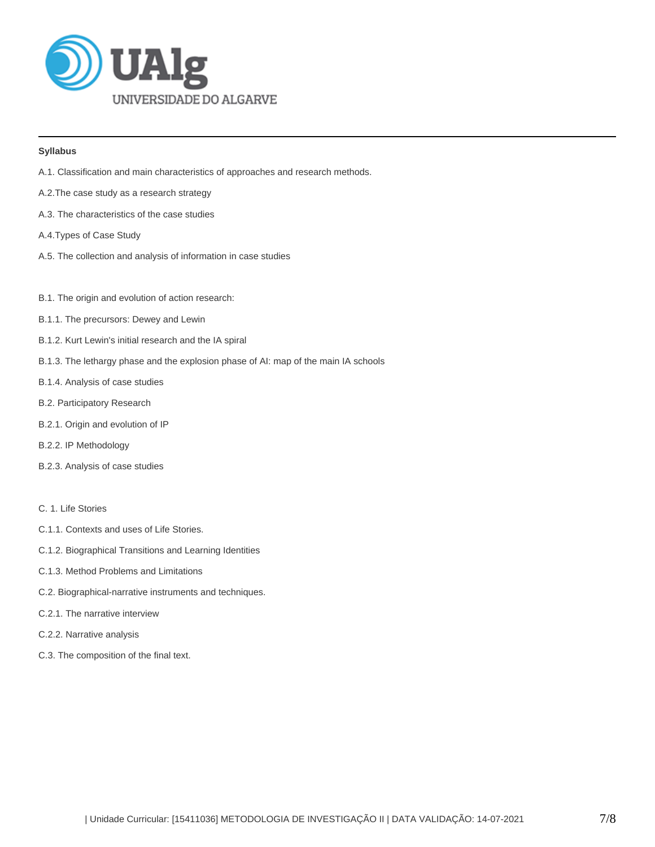

## **Syllabus**

- A.1. Classification and main characteristics of approaches and research methods.
- A.2.The case study as a research strategy
- A.3. The characteristics of the case studies
- A.4.Types of Case Study
- A.5. The collection and analysis of information in case studies
- B.1. The origin and evolution of action research:
- B.1.1. The precursors: Dewey and Lewin
- B.1.2. Kurt Lewin's initial research and the IA spiral
- B.1.3. The lethargy phase and the explosion phase of AI: map of the main IA schools
- B.1.4. Analysis of case studies
- B.2. Participatory Research
- B.2.1. Origin and evolution of IP
- B.2.2. IP Methodology
- B.2.3. Analysis of case studies

# C. 1. Life Stories

- C.1.1. Contexts and uses of Life Stories.
- C.1.2. Biographical Transitions and Learning Identities
- C.1.3. Method Problems and Limitations
- C.2. Biographical-narrative instruments and techniques.
- C.2.1. The narrative interview
- C.2.2. Narrative analysis
- C.3. The composition of the final text.